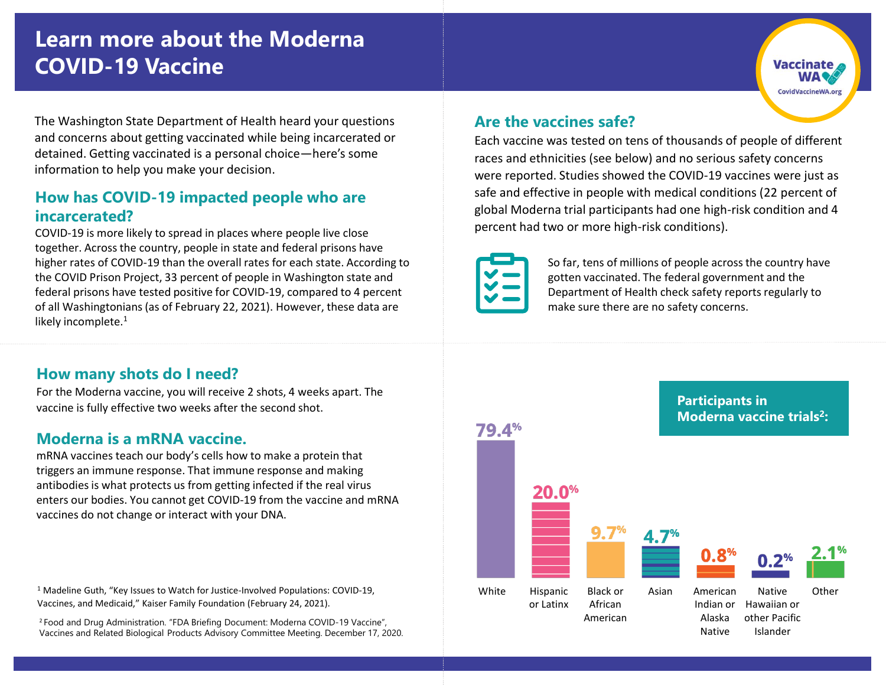# **Learn more about the Moderna COVID-19 Vaccine**

The Washington State Department of Health heard your questions and concerns about getting vaccinated while being incarcerated or detained. Getting vaccinated is a personal choice—here's some information to help you make your decision.

#### **How has COVID-19 impacted people who are incarcerated?**

COVID-19 is more likely to spread in places where people live close together. Across the country, people in state and federal prisons have higher rates of COVID-19 than the overall rates for each state. According to the COVID Prison Project, 33 percent of people in Washington state and federal prisons have tested positive for COVID-19, compared to 4 percent of all Washingtonians (as of February 22, 2021). However, these data are likely incomplete.<sup>1</sup>

#### **How many shots do I need?**

For the Moderna vaccine, you will receive 2 shots, 4 weeks apart. The vaccine is fully effective two weeks after the second shot.

#### **Moderna is a mRNA vaccine.**

mRNA vaccines teach our body's cells how to make a protein that triggers an immune response. That immune response and making antibodies is what protects us from getting infected if the real virus enters our bodies. You cannot get COVID-19 from the vaccine and mRNA vaccines do not change or interact with your DNA.

<sup>1</sup> Madeline Guth, "Key Issues to Watch for Justice-Involved Populations: COVID-19, Vaccines, and Medicaid," Kaiser Family Foundation (February 24, 2021).

<sup>2</sup> Food and Drug Administration. "FDA Briefing Document: Moderna COVID-19 Vaccine", Vaccines and Related Biological Products Advisory Committee Meeting. December 17, 2020.

#### **Are the vaccines safe?**

Each vaccine was tested on tens of thousands of people of different races and ethnicities (see below) and no serious safety concerns were reported. Studies showed the COVID-19 vaccines were just as safe and effective in people with medical conditions (22 percent of global Moderna trial participants had one high-risk condition and 4 percent had two or more high-risk conditions).



So far, tens of millions of people across the country have gotten vaccinated. The federal government and the Department of Health check safety reports regularly to make sure there are no safety concerns.